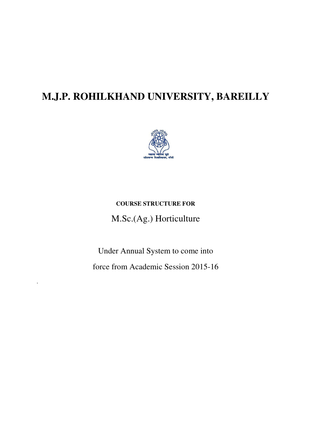# **M.J.P. ROHILKHAND UNIVERSITY, BAREILLY**



# **COURSE STRUCTURE FOR**  M.Sc.(Ag.) Horticulture

Under Annual System to come into force from Academic Session 2015-16

.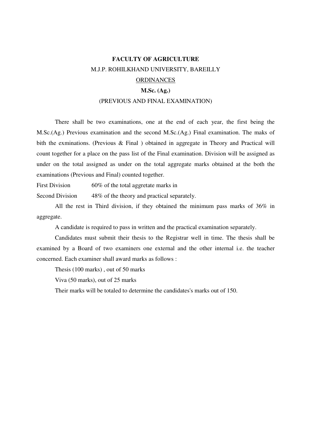# **FACULTY OF AGRICULTURE**  M.J.P. ROHILKHAND UNIVERSITY, BAREILLY ORDINANCES

#### **M.Sc. (Ag.)**

#### (PREVIOUS AND FINAL EXAMINATION)

 There shall be two examinations, one at the end of each year, the first being the M.Sc.(Ag.) Previous examination and the second M.Sc.(Ag.) Final examination. The maks of bith the exminations. (Previous & Final ) obtained in aggregate in Theory and Practical will count together for a place on the pass list of the Final examination. Division will be assigned as under on the total assigned as under on the total aggregate marks obtained at the both the examinations (Previous and Final) counted together.

First Division 60% of the total aggretate marks in

Second Division 48% of the theory and practical separately.

 All the rest in Third division, if they obtained the minimum pass marks of 36% in aggregate.

A candidate is required to pass in written and the practical examination separately.

 Candidates must submit their thesis to the Registrar well in time. The thesis shall be examined by a Board of two examiners one external and the other internal i.e. the teacher concerned. Each examiner shall award marks as follows :

Thesis (100 marks) , out of 50 marks

Viva (50 marks), out of 25 marks

Their marks will be totaled to determine the candidates's marks out of 150.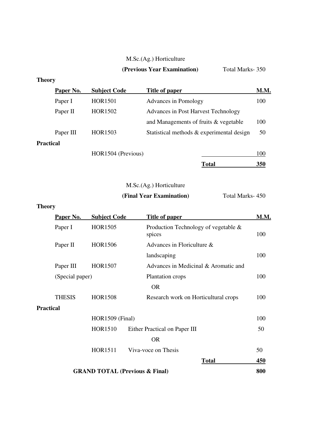# M.Sc.(Ag.) Horticulture

# **(Previous Year Examination)** Total Marks- 350

# **Theory**

|                  | Paper No. | <b>Subject Code</b> | Title of paper                            | <b>M.M.</b> |
|------------------|-----------|---------------------|-------------------------------------------|-------------|
|                  | Paper I   | <b>HOR1501</b>      | Advances in Pomology                      | 100         |
|                  | Paper II  | HOR1502             | Advances in Post Harvest Technology       |             |
|                  |           |                     | and Managements of fruits & vegetable     | 100         |
|                  | Paper III | HOR1503             | Statistical methods & experimental design | 50          |
| <b>Practical</b> |           |                     |                                           |             |
|                  |           | HOR1504 (Previous)  |                                           | 100         |
|                  |           |                     | Total                                     | 350         |

# M.Sc.(Ag.) Horticulture

# **(Final Year Examination)** Total Marks- 450

# **Theory**

| Paper No.        | <b>Subject Code</b>                       | Title of paper                                 | M.M. |  |  |  |
|------------------|-------------------------------------------|------------------------------------------------|------|--|--|--|
| Paper I          | HOR1505                                   | Production Technology of vegetable &<br>spices | 100  |  |  |  |
| Paper II         | HOR1506                                   | Advances in Floriculture &                     |      |  |  |  |
|                  |                                           | landscaping                                    | 100  |  |  |  |
| Paper III        | <b>HOR1507</b>                            | Advances in Medicinal & Aromatic and           |      |  |  |  |
| (Special paper)  |                                           | Plantation crops                               | 100  |  |  |  |
|                  |                                           | <b>OR</b>                                      |      |  |  |  |
| <b>THESIS</b>    | <b>HOR1508</b>                            | Research work on Horticultural crops           | 100  |  |  |  |
| <b>Practical</b> |                                           |                                                |      |  |  |  |
|                  | HOR1509 (Final)                           |                                                |      |  |  |  |
|                  | <b>HOR1510</b>                            | Either Practical on Paper III                  | 50   |  |  |  |
|                  | <b>OR</b>                                 |                                                |      |  |  |  |
|                  | <b>HOR1511</b>                            | Viva-voce on Thesis                            | 50   |  |  |  |
|                  |                                           | <b>Total</b>                                   | 450  |  |  |  |
|                  | <b>GRAND TOTAL (Previous &amp; Final)</b> |                                                |      |  |  |  |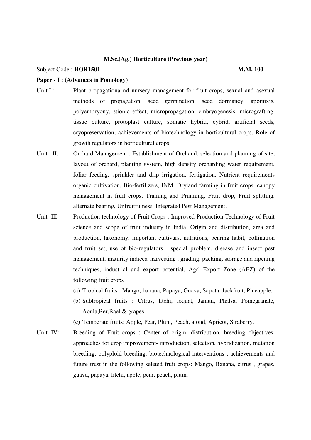#### Subject Code : **HOR1501** M.M. 100

#### **Paper - I : (Advances in Pomology)**

- Unit I : Plant propagationa nd nursery management for fruit crops, sexual and asexual methods of propagation, seed germination, seed dormancy, apomixis, polyembryony, stionic effect, micropropagation, embryogenesis, micrografting, tissue culture, protoplast culture, somatic hybrid, cybrid, artificial seeds, cryopreservation, achievements of biotechnology in horticultural crops. Role of growth regulators in horticultural crops.
- Unit II: Orchard Management : Establishment of Orchand, selection and planning of site, layout of orchard, planting system, high density orcharding water requirement, foliar feeding, sprinkler and drip irrigation, fertigation, Nutrient requirements organic cultivation, Bio-fertilizers, INM, Dryland farming in fruit crops. canopy management in fruit crops. Training and Prunning, Fruit drop, Fruit splitting. alternate bearing, Unfruitfulness, Integrated Pest Management.
- Unit- III: Production technology of Fruit Crops : Improved Production Technology of Fruit science and scope of fruit industry in India. Origin and distribution, area and production, taxonomy, important cultivars, nutritions, bearing habit, pollination and fruit set, use of bio-regulators , special problem, disease and insect pest management, maturity indices, harvesting , grading, packing, storage and ripening techniques, industrial and export potential, Agri Export Zone (AEZ) of the following fruit crops :
	- (a) Tropical fruits : Mango, banana, Papaya, Guava, Sapota, Jackfruit, Pineapple.
	- (b) Subtropical fruits : Citrus, litchi, loquat, Jamun, Phalsa, Pomegranate, Aonla,Ber,Bael & grapes.
	- (c) Temperate fruits: Apple, Pear, Plum, Peach, alond, Apricot, Straberry.
- Unit- IV: Breeding of Fruit crops : Center of origin, distribution, breeding objectives, approaches for crop improvement- introduction, selection, hybridization, mutation breeding, polyploid breeding, biotechnological interventions , achievements and future trust in the following seleted fruit crops: Mango, Banana, citrus , grapes, guava, papaya, litchi, apple, pear, peach, plum.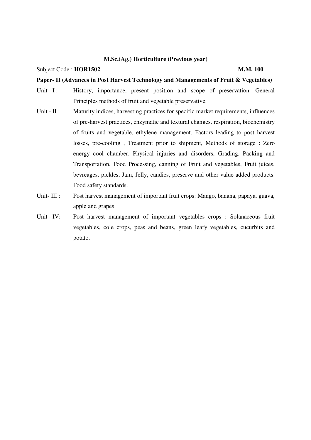#### Subject Code : **HOR1502** M.M. 100

#### **Paper- II (Advances in Post Harvest Technology and Managements of Fruit & Vegetables)**

- Unit I : History, importance, present position and scope of preservation. General Principles methods of fruit and vegetable preservative.
- Unit II : Maturity indices, harvesting practices for specific market requirements, influences of pre-harvest practices, enzymatic and textural changes, respiration, biochemistry of fruits and vegetable, ethylene management. Factors leading to post harvest losses, pre-cooling , Treatment prior to shipment, Methods of storage : Zero energy cool chamber, Physical injuries and disorders, Grading, Packing and Transportation, Food Processing, canning of Fruit and vegetables, Fruit juices, bevreages, pickles, Jam, Jelly, candies, preserve and other value added products. Food safety standards.
- Unit- III : Post harvest management of important fruit crops: Mango, banana, papaya, guava, apple and grapes.
- Unit IV: Post harvest management of important vegetables crops : Solanaceous fruit vegetables, cole crops, peas and beans, green leafy vegetables, cucurbits and potato.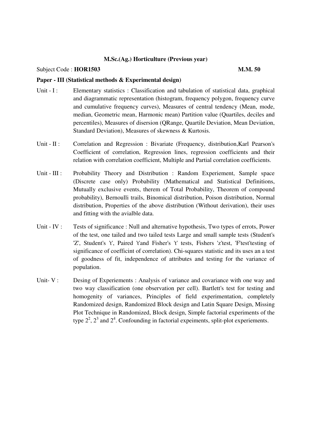#### Subject Code : **HOR1503** M.M. 50

#### **Paper - III (Statistical methods & Experimental design)**

- Unit I : Elementary statistics : Classification and tabulation of statistical data, graphical and diagrammatic representation (histogram, frequency polygon, frequency curve and cumulative frequency curves), Measures of central tendency (Mean, mode, median, Geometric mean, Harmonic mean) Partition value (Quartiles, deciles and percentiles), Measures of disersion (QRange, Quartile Deviation, Mean Deviation, Standard Deviation), Measures of skewness & Kurtosis.
- Unit II : Correlation and Regression : Bivariate (Frequency, distribution, Karl Pearson's Coefficient of correlation, Regression lines, regression coefficients and their relation with correlation coefficient, Multiple and Partial correlation coefficients.
- Unit III : Probability Theory and Distribution : Random Experiement, Sample space (Discrete case only) Probability (Mathematical and Statistical Definitions, Mutually exclusive events, therem of Total Probability, Theorem of compound probability), Bernoulli trails, Binomical distribution, Poison distribution, Normal distribution, Properties of the above distribution (Without derivation), their uses and fitting with the avialble data.
- Unit IV : Tests of significance : Null and alternative hypothesis, Two types of errots, Power of the test, one tailed and two tailed tests Large and small sample tests (Student's 'Z', Student's 't', Paired 't'and Fisher's 't' tests, Fishers 'z'test, 'F'test'testing of significance of coefficint of correlation). Chi-squares statistic and its uses an a test of goodness of fit, independence of attributes and testing for the variance of population.
- Unit- V : Desing of Experiements : Analysis of variance and covariance with one way and two way classification (one observation per cell). Bartlett's test for testing and homogenity of variances, Principles of field experimentation, completely Randomized design, Randomized Block design and Latin Square Design, Missing Plot Technique in Randomized, Block design, Simple factorial experiments of the type  $2^2$ ,  $2^3$  and  $2^4$ . Confounding in factorial expeiments, split-plot experiements.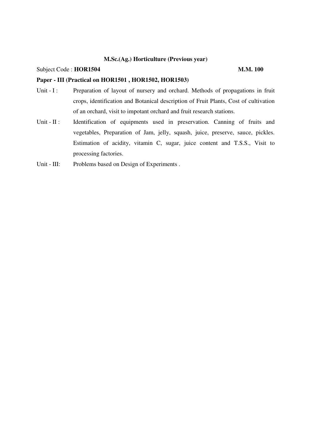### Subject Code : **HOR1504** M.M. 100

### **Paper - III (Practical on HOR1501 , HOR1502, HOR1503)**

- Unit I : Preparation of layout of nursery and orchard. Methods of propagations in fruit crops, identification and Botanical description of Fruit Plants, Cost of cultivation of an orchard, visit to impotant orchard and fruit research stations.
- Unit II : Identification of equipments used in preservation. Canning of fruits and vegetables, Preparation of Jam, jelly, squash, juice, preserve, sauce, pickles. Estimation of acidity, vitamin C, sugar, juice content and T.S.S., Visit to processing factories.
- Unit III: Problems based on Design of Experiments .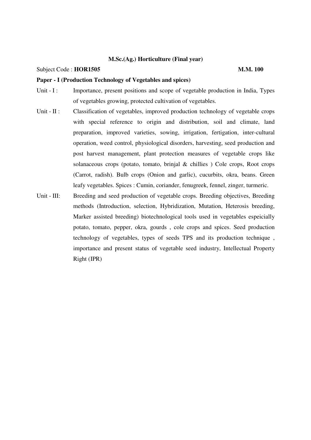#### Subject Code : **HOR1505 M.M. 100**

#### **Paper - I (Production Technology of Vegetables and spices)**

- Unit I : Importance, present positions and scope of vegetable production in India, Types of vegetables growing, protected cultivation of vegetables.
- Unit II : Classification of vegetables, improved production technology of vegetable crops with special reference to origin and distribution, soil and climate, land preparation, improved varieties, sowing, irrigation, fertigation, inter-cultural operation, weed control, physiological disorders, harvesting, seed production and post harvest management, plant protection measures of vegetable crops like solanaceous crops (potato, tomato, brinjal & chillies ) Cole crops, Root crops (Carrot, radish). Bulb crops (Onion and garlic), cucurbits, okra, beans. Green leafy vegetables. Spices : Cumin, coriander, fenugreek, fennel, zinger, turmeric.
- Unit III: Breeding and seed production of vegetable crops. Breeding objectives, Breeding methods (Introduction, selection, Hybridization, Mutation, Heterosis breeding, Marker assisted breeding) biotechnological tools used in vegetables espeicially potato, tomato, pepper, okra, gourds , cole crops and spices. Seed production technology of vegetables, types of seeds TPS and its production technique , importance and present status of vegetable seed industry, Intellectual Property Right (IPR)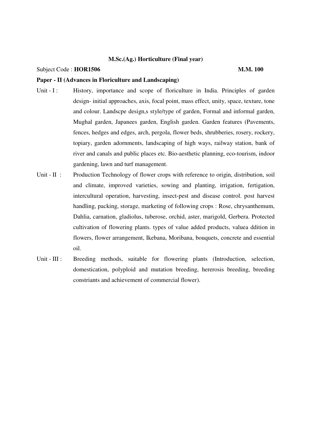#### Subject Code : **HOR1506** M.M. 100

#### **Paper - II (Advances in Floriculture and Landscaping)**

- Unit I : History, importance and scope of floriculture in India. Principles of garden design- initial approaches, axis, focal point, mass effect, unity, space, texture, tone and colour. Landscpe design,s style/type of garden, Formal and informal garden, Mughal garden, Japanees garden, English garden. Garden features (Pavements, fences, hedges and edges, arch, pergola, flower beds, shrubberies, rosery, rockery, topiary, garden adornments, landscaping of high ways, railway station, bank of river and canals and public places etc. Bio-aesthetic planning, eco-tourism, indoor gardening, lawn and turf management.
- Unit II : Production Technology of flower crops with reference to origin, distribution, soil and climate, improved varieties, sowing and planting, irrigation, fertigation, intercultural operation, harvesting, insect-pest and disease control. post harvest handling, packing, storage, marketing of following crops : Rose, chrysanthemum, Dahlia, carnation, gladiolus, tuberose, orchid, aster, marigold, Gerbera. Protected cultivation of flowering plants. types of value added products, valuea ddition in flowers, flower arrangement, Ikebana, Moribana, bouquets, concrete and essential oil.
- Unit III : Breeding methods, suitable for flowering plants (Introduction, selection, domestication, polyploid and mutation breeding, hererosis breeding, breeding constriants and achievement of commercial flower).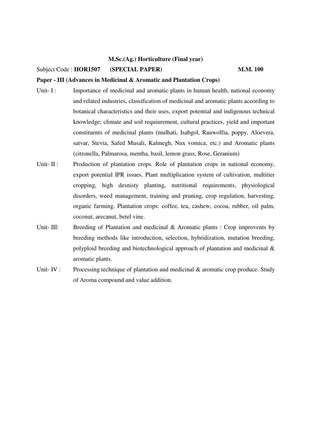#### Subject Code : **HOR1507** (**SPECIAL PAPER**) **M.M. 100**

#### **Paper - III (Advances in Medicinal & Aromatic and Plantation Crops)**

- Unit- I : Importance of medicinal and aromatic plants in human health, national economy and related industries, classification of medicinal and aromatic plants according to botanical characteristics and their uses, export potential and indigenous technical knowledge; climate and soil requiurement, cultural practices, yield and important constituents of medicinal plants (mulhati, Isabgol, Rauwolfia, poppy, Aloevera, satvar, Stevia, Safed Musali, Kalmegh, Nux vomica, etc.) and Aromatic plants (citronella, Palmarosa, mentha, basil, lemon grass, Rose, Geranium)
- Unit- II : Production of plantation crops. Role of plantation crops in national economy, export potential IPR issues. Plant multiplication system of cultivation, multitier cropping, high desnisty planting, nutritional requirements, physiological disorders, weed management, training and pruning, crop regulation, harvesting, organic farming. Plantation crops: coffee, tea, cashew, cocoa, rubber, oil palm, coconut, arecanut, betel vine.
- Unit- III: Breeding of Plantation and medicinal & Aromatic plants : Crop improvents by breeding methods like introduction, selection, hybridization, mutation breeding, polyploid breeding and biotechnological approach of plantation and medicinal & aromatic plants.
- Unit- IV : Processing technique of plantation and medicinal & aromatic crop produce. Study of Aroma compound and value addition.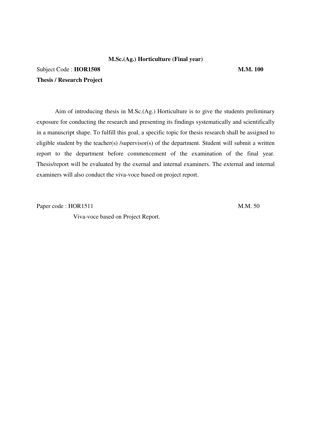# Subject Code : **HOR1508** M.M. 100 **Thesis / Research Project**

 Aim of introducing thesis in M.Sc.(Ag.) Horticulture is to give the students preliminary exposure for conducting the research and presenting its findings systematically and scientifically in a manuscript shape. To fulfill this goal, a specific topic for thesis research shall be assigned to eligible student by the teacher(s) /supervisor(s) of the department. Student will submit a written report to the department before commencement of the examination of the final year. Thesis/report will be evaluated by the exernal and internal examiners. The external and internal examiners will also conduct the viva-voce based on project report.

Paper code : HOR1511 M.M. 50

Viva-voce based on Project Report.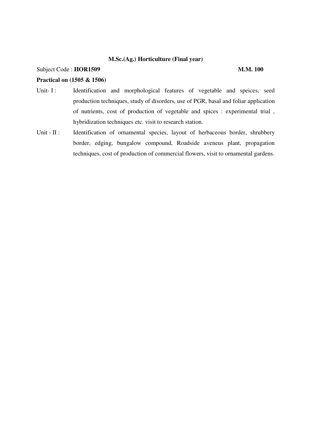### Subject Code : **HOR1509** M.M. 100

### **Practical on (1505 & 1506)**

- Unit- I: Identification and morphological features of vegetable and speices, seed production techniques, study of disorders, use of PGR, basal and foliar application of nutrients, cost of production of vegetable and spices : experimental trial , hybridization techniques etc. visit to research station.
- Unit II : Identification of ornamental species, layout of herbaceous border, shrubbery border, edging, bungalow compound, Roadside aveneus plant, propagation techniques, cost of production of commercial flowers, visit to ornamental gardens.